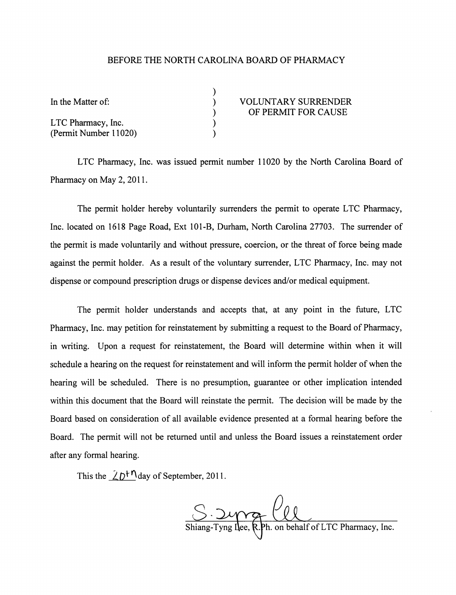## BEFORE THE NORTH CAROLINA BOARD OF PHARMACY

| In the Matter of:     | <b>VOLUNTARY SURRENDER</b> |
|-----------------------|----------------------------|
|                       | OF PERMIT FOR CAUSE        |
| LTC Pharmacy, Inc.    |                            |
| (Permit Number 11020) |                            |

LTC Pharmacy, Inc. was issued permit number 11020 by the North Carolina Board of Pharmacy on May 2, 2011.

The permit holder hereby voluntarily surrenders the permit to operate LTC Pharmacy, Inc. located on 1618 Page Road, Ext 101-B, Durham, North Carolina 27703. The surrender of the permit is made voluntarily and without pressure, coercion, or the threat of force being made against the permit holder. As a result of the voluntary surrender, LTC Pharmacy, Inc. may not dispense or compound prescription drugs or dispense devices and/or medical equipment.

The permit holder understands and accepts that, at any point in the future, LTC Pharmacy, Inc. may petition for reinstatement by submitting a request to the Board of Pharmacy, in writing. Upon a request for reinstatement, the Board will determine within when it will schedule a hearing on the request for reinstatement and will inform the permit holder of when the hearing will be scheduled. There is no presumption, guarantee or other implication intended within this document that the Board will reinstate the permit. The decision will be made by the Board based on consideration of all available evidence presented at a formal hearing before the Board. The permit will not be returned until and unless the Board issues a reinstatement order after any formal hearing.

This the  $2D^{n}$ day of September, 2011.

 $S.$   $\frac{1}{1}$   $\frac{1}{1}$   $\frac{1}{1}$   $\frac{1}{1}$   $\frac{1}{1}$   $\frac{1}{1}$   $\frac{1}{1}$   $\frac{1}{1}$   $\frac{1}{1}$   $\frac{1}{1}$   $\frac{1}{1}$   $\frac{1}{1}$   $\frac{1}{1}$   $\frac{1}{1}$   $\frac{1}{1}$   $\frac{1}{1}$   $\frac{1}{1}$   $\frac{1}{1}$   $\frac{1}{1}$   $\frac{1}{1}$   $\frac{1}{1}$   $\frac{1}{$